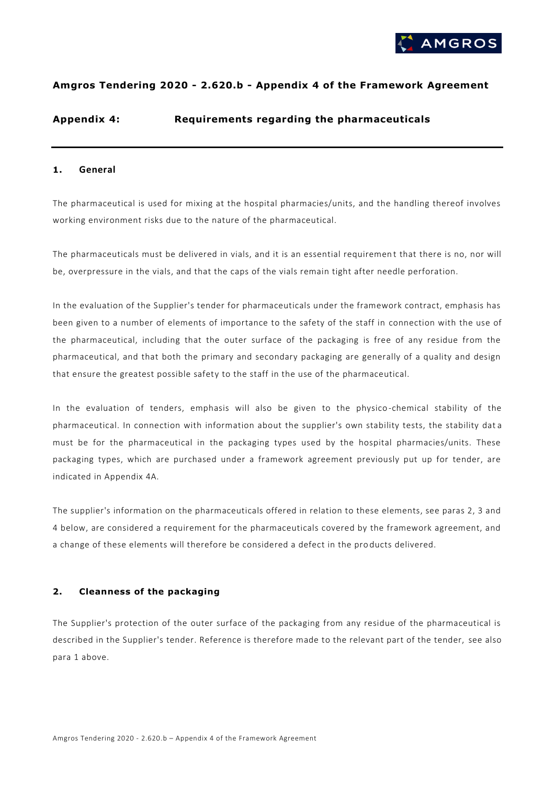

## **Amgros Tendering 2020 - 2.620.b - Appendix 4 of the Framework Agreement**

# **Appendix 4: Requirements regarding the pharmaceuticals**

#### **1. General**

The pharmaceutical is used for mixing at the hospital pharmacies/units, and the handling thereof involves working environment risks due to the nature of the pharmaceutical.

The pharmaceuticals must be delivered in vials, and it is an essential requiremen t that there is no, nor will be, overpressure in the vials, and that the caps of the vials remain tight after needle perforation.

In the evaluation of the Supplier's tender for pharmaceuticals under the framework contract, emphasis has been given to a number of elements of importance to the safety of the staff in connection with the use of the pharmaceutical, including that the outer surface of the packaging is free of any residue from the pharmaceutical, and that both the primary and secondary packaging are generally of a quality and design that ensure the greatest possible safety to the staff in the use of the pharmaceutical.

In the evaluation of tenders, emphasis will also be given to the physico -chemical stability of the pharmaceutical. In connection with information about the supplier's own stability tests, the stability dat a must be for the pharmaceutical in the packaging types used by the hospital pharmacies/units. These packaging types, which are purchased under a framework agreement previously put up for tender, are indicated in Appendix 4A.

The supplier's information on the pharmaceuticals offered in relation to these elements, see paras 2, 3 and 4 below, are considered a requirement for the pharmaceuticals covered by the framework agreement, and a change of these elements will therefore be considered a defect in the pro ducts delivered.

#### **2. Cleanness of the packaging**

The Supplier's protection of the outer surface of the packaging from any residue of the pharmaceutical is described in the Supplier's tender. Reference is therefore made to the relevant part of the tender, see also para 1 above.